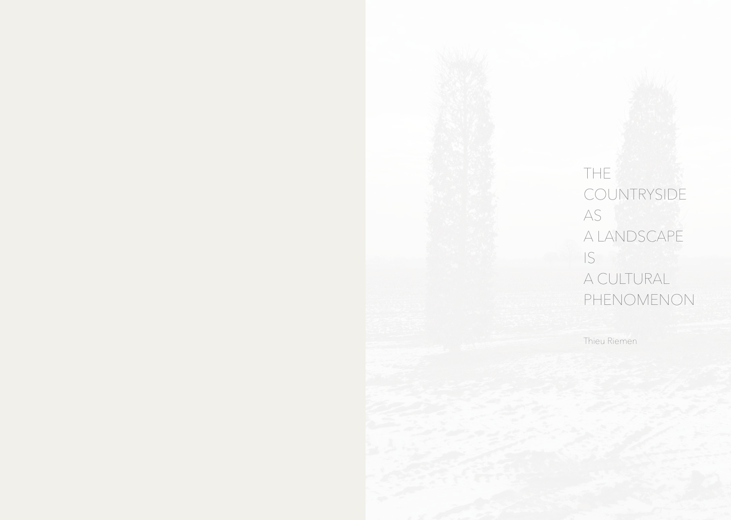THE<sup>®</sup> COUNTRYSIDE AS **AS** A LANDSCAPE IS **IS** A CULTURAL PHENOMENON

Thieu Riemen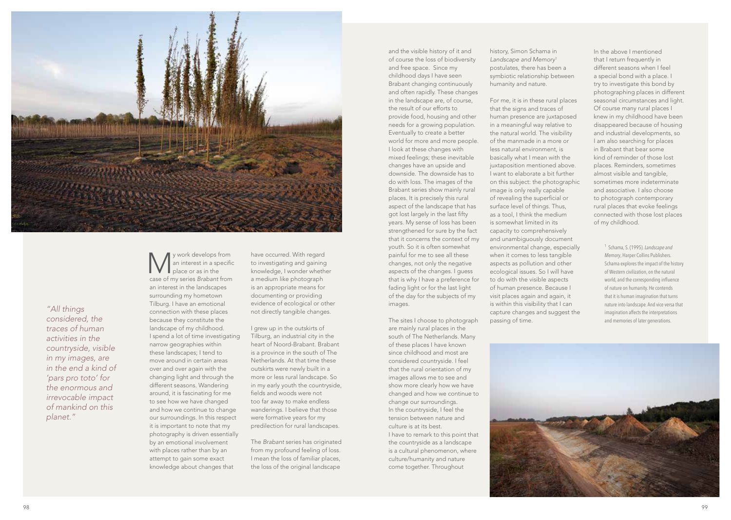

*"All things considered, the traces of human activities in the countryside, visible in my images, are in the end a kind of 'pars pro toto' for the enormous and irrevocable impact of mankind on this planet."*

W y work develops from<br>an interest in a specific<br>place or as in the<br>cose of my orige Brabant from an interest in a specific place or as in the case of my series *Brabant* from an interest in the landscapes surrounding my hometown Tilburg. I have an emotional connection with these places because they constitute the landscape of my childhood. I spend a lot of time investigating narrow geographies within these landscapes; I tend to move around in certain areas over and over again with the changing light and through the different seasons. Wandering around, it is fascinating for me to see how we have changed and how we continue to change our surroundings. In this respect it is important to note that my photography is driven essentially by an emotional involvement with places rather than by an attempt to gain some exact knowledge about changes that

have occurred. With regard to investigating and gaining knowledge, I wonder whether a medium like photograph is an appropriate means for documenting or providing evidence of ecological or other not directly tangible changes.

I grew up in the outskirts of Tilburg, an industrial city in the heart of Noord-Brabant. Brabant is a province in the south of The Netherlands. At that time these outskirts were newly built in a more or less rural landscape. So in my early youth the countryside, fields and woods were not too far away to make endless wanderings. I believe that those were formative years for my predilection for rural landscapes.

The *Brabant* series has originated from my profound feeling of loss. I mean the loss of familiar places, the loss of the original landscape

and the visible history of it and of course the loss of biodiversity and free space. Since my childhood days I have seen Brabant changing continuously and often rapidly. These changes in the landscape are, of course, the result of our efforts to provide food, housing and other needs for a growing population. Eventually to create a better world for more and more people. I look at these changes with mixed feelings; these inevitable changes have an upside and downside. The downside has to do with loss. The images of the Brabant series show mainly rural places. It is precisely this rural aspect of the landscape that has got lost largely in the last fifty years. My sense of loss has been strengthened for sure by the fact that it concerns the context of my youth. So it is often somewhat painful for me to see all these changes, not only the negative aspects of the changes. I guess that is why I have a preference for fading light or for the last light of the day for the subjects of my images.

The sites I choose to photograph are mainly rural places in the south of The Netherlands. Many of these places I have known since childhood and most are considered countryside. I feel that the rural orientation of my images allows me to see and show more clearly how we have changed and how we continue to change our surroundings. In the countryside, I feel the tension between nature and culture is at its best. I have to remark to this point that the countryside as a landscape is a cultural phenomenon, where culture/humanity and nature come together. Throughout

history, Simon Schama in *Landscape and Memory*<sup>1</sup> postulates, there has been a symbiotic relationship between humanity and nature.

For me, it is in these rural places that the signs and traces of human presence are juxtaposed in a meaningful way relative to the natural world. The visibility of the manmade in a more or less natural environment, is basically what I mean with the juxtaposition mentioned above. I want to elaborate a bit further on this subject: the photographic image is only really capable of revealing the superficial or surface level of things. Thus, as a tool, I think the medium is somewhat limited in its capacity to comprehensively and unambiguously document environmental change, especially when it comes to less tangible aspects as pollution and other ecological issues. So I will have to do with the visible aspects of human presence. Because I visit places again and again, it is within this visibility that I can capture changes and suggest the passing of time.

In the above I mentioned that I return frequently in different seasons when I feel a special bond with a place. I try to investigate this bond by photographing places in different seasonal circumstances and light. Of course many rural places I knew in my childhood have been disappeared because of housing and industrial developments, so I am also searching for places in Brabant that bear some kind of reminder of those lost places. Reminders, sometimes almost visible and tangible, sometimes more indeterminate and associative. I also choose to photograph contemporary rural places that evoke feelings connected with those lost places of my childhood.

> 1 Schama, S. (1995). *Landscape and Memory*, Harper Collins Publishers. Schama explores the impact of the history of Western civilization, on the natural world, and the corresponding influence of nature on humanity. He contends that it is human imagination that turns nature into landscape. And vice versa that imagination affects the interpretations and memories of later generations.